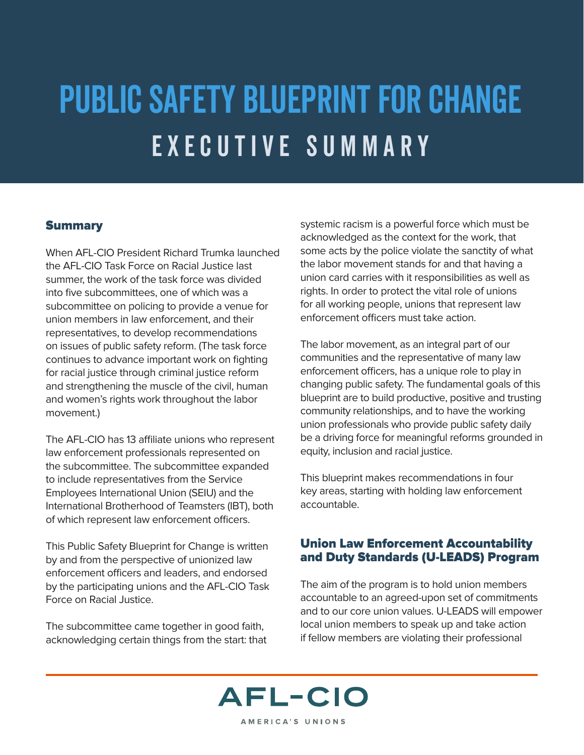# Public Safety Blueprint for Change Executive Summary

## **Summary**

When AFL-CIO President Richard Trumka launched the AFL-CIO Task Force on Racial Justice last summer, the work of the task force was divided into five subcommittees, one of which was a subcommittee on policing to provide a venue for union members in law enforcement, and their representatives, to develop recommendations on issues of public safety reform. (The task force continues to advance important work on fighting for racial justice through criminal justice reform and strengthening the muscle of the civil, human and women's rights work throughout the labor movement.)

The AFL-CIO has 13 affiliate unions who represent law enforcement professionals represented on the subcommittee. The subcommittee expanded to include representatives from the Service Employees International Union (SEIU) and the International Brotherhood of Teamsters (IBT), both of which represent law enforcement officers.

This Public Safety Blueprint for Change is written by and from the perspective of unionized law enforcement officers and leaders, and endorsed by the participating unions and the AFL-CIO Task Force on Racial Justice.

The subcommittee came together in good faith, acknowledging certain things from the start: that systemic racism is a powerful force which must be acknowledged as the context for the work, that some acts by the police violate the sanctity of what the labor movement stands for and that having a union card carries with it responsibilities as well as rights. In order to protect the vital role of unions for all working people, unions that represent law enforcement officers must take action.

The labor movement, as an integral part of our communities and the representative of many law enforcement officers, has a unique role to play in changing public safety. The fundamental goals of this blueprint are to build productive, positive and trusting community relationships, and to have the working union professionals who provide public safety daily be a driving force for meaningful reforms grounded in equity, inclusion and racial justice.

This blueprint makes recommendations in four key areas, starting with holding law enforcement accountable.

## Union Law Enforcement Accountability and Duty Standards (U-LEADS) Program

The aim of the program is to hold union members accountable to an agreed-upon set of commitments and to our core union values. U-LEADS will empower local union members to speak up and take action if fellow members are violating their professional

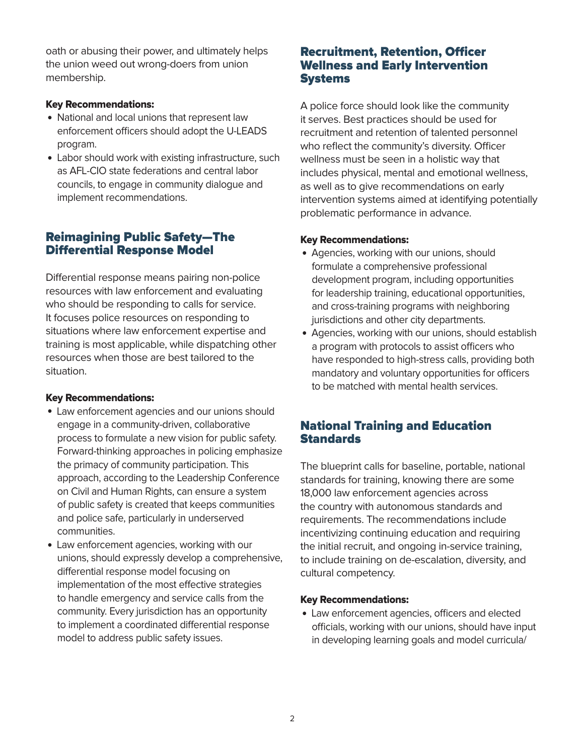oath or abusing their power, and ultimately helps the union weed out wrong-doers from union membership.

### Key Recommendations:

- National and local unions that represent law enforcement officers should adopt the U-LEADS program.
- Labor should work with existing infrastructure, such as AFL-CIO state federations and central labor councils, to engage in community dialogue and implement recommendations.

## Reimagining Public Safety—The Differential Response Model

Differential response means pairing non-police resources with law enforcement and evaluating who should be responding to calls for service. It focuses police resources on responding to situations where law enforcement expertise and training is most applicable, while dispatching other resources when those are best tailored to the situation.

#### Key Recommendations:

- Law enforcement agencies and our unions should engage in a community-driven, collaborative process to formulate a new vision for public safety. Forward-thinking approaches in policing emphasize the primacy of community participation. This approach, according to the Leadership Conference on Civil and Human Rights, can ensure a system of public safety is created that keeps communities and police safe, particularly in underserved communities.
- Law enforcement agencies, working with our unions, should expressly develop a comprehensive, differential response model focusing on implementation of the most effective strategies to handle emergency and service calls from the community. Every jurisdiction has an opportunity to implement a coordinated differential response model to address public safety issues.

## Recruitment, Retention, Officer Wellness and Early Intervention **Systems**

A police force should look like the community it serves. Best practices should be used for recruitment and retention of talented personnel who reflect the community's diversity. Officer wellness must be seen in a holistic way that includes physical, mental and emotional wellness, as well as to give recommendations on early intervention systems aimed at identifying potentially problematic performance in advance.

#### Key Recommendations:

- Agencies, working with our unions, should formulate a comprehensive professional development program, including opportunities for leadership training, educational opportunities, and cross-training programs with neighboring jurisdictions and other city departments.
- Agencies, working with our unions, should establish a program with protocols to assist officers who have responded to high-stress calls, providing both mandatory and voluntary opportunities for officers to be matched with mental health services.

## National Training and Education **Standards**

The blueprint calls for baseline, portable, national standards for training, knowing there are some 18,000 law enforcement agencies across the country with autonomous standards and requirements. The recommendations include incentivizing continuing education and requiring the initial recruit, and ongoing in-service training, to include training on de-escalation, diversity, and cultural competency.

#### Key Recommendations:

• Law enforcement agencies, officers and elected officials, working with our unions, should have input in developing learning goals and model curricula/